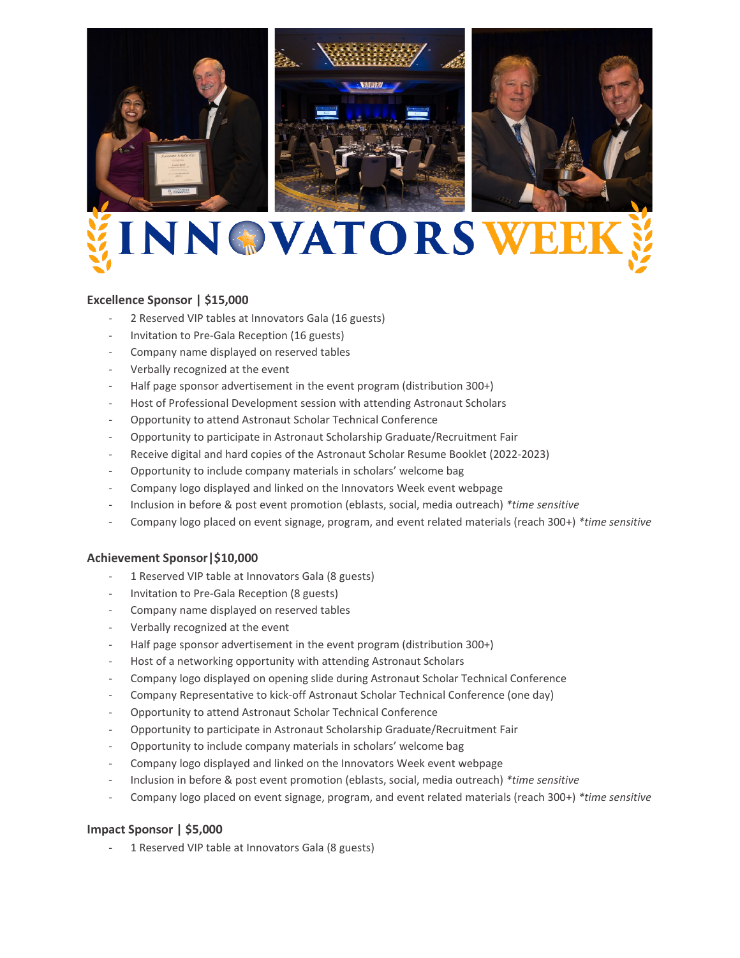

# NN@VATORSWEJ

### **Excellence Sponsor | \$15,000**

- 2 Reserved VIP tables at Innovators Gala (16 guests)
- Invitation to Pre-Gala Reception (16 guests)
- Company name displayed on reserved tables
- Verbally recognized at the event
- Half page sponsor advertisement in the event program (distribution 300+)
- Host of Professional Development session with attending Astronaut Scholars
- Opportunity to attend Astronaut Scholar Technical Conference
- Opportunity to participate in Astronaut Scholarship Graduate/Recruitment Fair
- Receive digital and hard copies of the Astronaut Scholar Resume Booklet (2022-2023)
- Opportunity to include company materials in scholars' welcome bag
- Company logo displayed and linked on the Innovators Week event webpage
- Inclusion in before & post event promotion (eblasts, social, media outreach) *\*time sensitive*
- Company logo placed on event signage, program, and event related materials (reach 300+) *\*time sensitive*

# **Achievement Sponsor|\$10,000**

- 1 Reserved VIP table at Innovators Gala (8 guests)
- Invitation to Pre-Gala Reception (8 guests)
- Company name displayed on reserved tables
- Verbally recognized at the event
- Half page sponsor advertisement in the event program (distribution 300+)
- Host of a networking opportunity with attending Astronaut Scholars
- Company logo displayed on opening slide during Astronaut Scholar Technical Conference
- Company Representative to kick-off Astronaut Scholar Technical Conference (one day)
- Opportunity to attend Astronaut Scholar Technical Conference
- Opportunity to participate in Astronaut Scholarship Graduate/Recruitment Fair
- Opportunity to include company materials in scholars' welcome bag
- Company logo displayed and linked on the Innovators Week event webpage
- Inclusion in before & post event promotion (eblasts, social, media outreach) *\*time sensitive*
- Company logo placed on event signage, program, and event related materials (reach 300+) *\*time sensitive*

# **Impact Sponsor | \$5,000**

1 Reserved VIP table at Innovators Gala (8 guests)